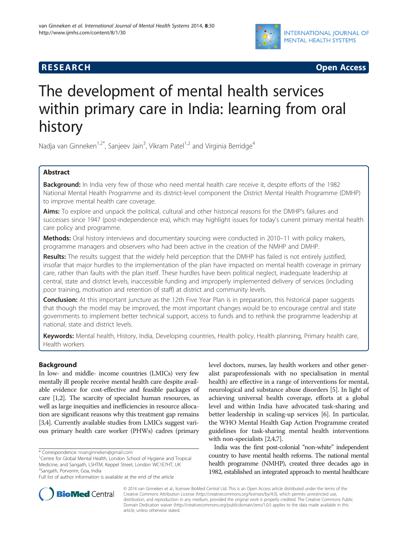

## **RESEARCH CHINESE ARCH CHINESE ARCH CHINESE ARCH <b>CHINESE ARCH**

# The development of mental health services within primary care in India: learning from oral history

Nadja van Ginneken<sup>1,2\*</sup>, Sanjeev Jain<sup>3</sup>, Vikram Patel<sup>1,2</sup> and Virginia Berridge<sup>4</sup>

## Abstract

Background: In India very few of those who need mental health care receive it, despite efforts of the 1982 National Mental Health Programme and its district-level component the District Mental Health Programme (DMHP) to improve mental health care coverage.

Aims: To explore and unpack the political, cultural and other historical reasons for the DMHP's failures and successes since 1947 (post-independence era), which may highlight issues for today's current primary mental health care policy and programme.

Methods: Oral history interviews and documentary sourcing were conducted in 2010–11 with policy makers, programme managers and observers who had been active in the creation of the NMHP and DMHP.

Results: The results suggest that the widely held perception that the DMHP has failed is not entirely justified, insofar that major hurdles to the implementation of the plan have impacted on mental health coverage in primary care, rather than faults with the plan itself. These hurdles have been political neglect, inadequate leadership at central, state and district levels, inaccessible funding and improperly implemented delivery of services (including poor training, motivation and retention of staff) at district and community levels.

Conclusion: At this important juncture as the 12th Five Year Plan is in preparation, this historical paper suggests that though the model may be improved, the most important changes would be to encourage central and state governments to implement better technical support, access to funds and to rethink the programme leadership at national, state and district levels.

Keywords: Mental health, History, India, Developing countries, Health policy, Health planning, Primary health care, Health workers

## Background

In low- and middle- income countries (LMICs) very few mentally ill people receive mental health care despite available evidence for cost-effective and feasible packages of care [\[1,2\]](#page-12-0). The scarcity of specialist human resources, as well as large inequities and inefficiencies in resource allocation are significant reasons why this treatment gap remains [[3,4](#page-12-0)]. Currently available studies from LMICs suggest various primary health care worker (PHWs) cadres (primary level doctors, nurses, lay health workers and other generalist paraprofessionals with no specialisation in mental health) are effective in a range of interventions for mental, neurological and substance abuse disorders [\[5](#page-12-0)]. In light of achieving universal health coverage, efforts at a global level and within India have advocated task-sharing and better leadership in scaling-up services [\[6](#page-12-0)]. In particular, the WHO Mental Health Gap Action Programme created guidelines for task-sharing mental health interventions with non-specialists [[2](#page-12-0),[4,7](#page-12-0)].

India was the first post-colonial "non-white" independent country to have mental health reforms. The national mental health programme (NMHP), created three decades ago in 1982, established an integrated approach to mental healthcare



© 2014 van Ginneken et al.; licensee BioMed Central Ltd. This is an Open Access article distributed under the terms of the Creative Commons Attribution License (<http://creativecommons.org/licenses/by/4.0>), which permits unrestricted use, distribution, and reproduction in any medium, provided the original work is properly credited. The Creative Commons Public Domain Dedication waiver [\(http://creativecommons.org/publicdomain/zero/1.0/\)](http://creativecommons.org/publicdomain/zero/1.0/) applies to the data made available in this article, unless otherwise stated.

<sup>\*</sup> Correspondence: [nvanginneken@gmail.com](mailto:nvanginneken@gmail.com) <sup>1</sup>

<sup>&</sup>lt;sup>1</sup> Centre for Global Mental Health, London School of Hygiene and Tropical Medicine, and Sangath, LSHTM, Keppel Street, London WC1E7HT, UK <sup>2</sup>Sangath, Porvorim, Goa, India

Full list of author information is available at the end of the article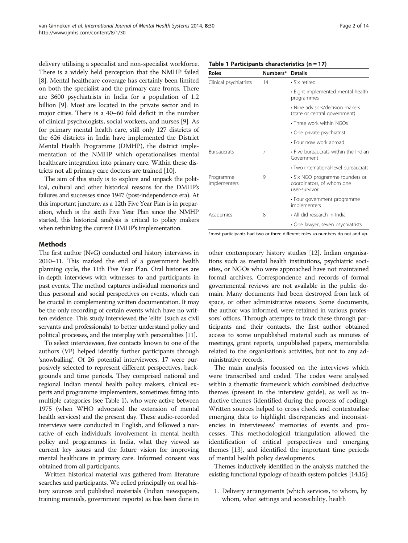delivery utilising a specialist and non-specialist workforce. There is a widely held perception that the NMHP failed [[8\]](#page-12-0). Mental healthcare coverage has certainly been limited on both the specialist and the primary care fronts. There are 3600 psychiatrists in India for a population of 1.2 billion [\[9\]](#page-12-0). Most are located in the private sector and in major cities. There is a 40–60 fold deficit in the number of clinical psychologists, social workers, and nurses [\[9\]](#page-12-0). As for primary mental health care, still only 127 districts of the 626 districts in India have implemented the District Mental Health Programme (DMHP), the district implementation of the NMHP which operationalises mental healthcare integration into primary care. Within these districts not all primary care doctors are trained [\[10\]](#page-12-0).

The aim of this study is to explore and unpack the political, cultural and other historical reasons for the DMHP's failures and successes since 1947 (post-independence era). At this important juncture, as a 12th Five Year Plan is in preparation, which is the sixth Five Year Plan since the NMHP started, this historical analysis is critical to policy makers when rethinking the current DMHP's implementation.

#### Methods

The first author (NvG) conducted oral history interviews in 2010–11. This marked the end of a government health planning cycle, the 11th Five Year Plan. Oral histories are in-depth interviews with witnesses to and participants in past events. The method captures individual memories and thus personal and social perspectives on events, which can be crucial in complementing written documentation. It may be the only recording of certain events which have no written evidence. This study interviewed the 'elite' (such as civil servants and professionals) to better understand policy and political processes, and the interplay with personalities [[11\]](#page-12-0).

To select interviewees, five contacts known to one of the authors (VP) helped identify further participants through 'snowballing'. Of 26 potential interviewees, 17 were purposively selected to represent different perspectives, backgrounds and time periods. They comprised national and regional Indian mental health policy makers, clinical experts and programme implementers, sometimes fitting into multiple categories (see Table 1), who were active between 1975 (when WHO advocated the extension of mental health services) and the present day. These audio-recorded interviews were conducted in English, and followed a narrative of each individual's involvement in mental health policy and programmes in India, what they viewed as current key issues and the future vision for improving mental healthcare in primary care. Informed consent was obtained from all participants.

Written historical material was gathered from literature searches and participants. We relied principally on oral history sources and published materials (Indian newspapers, training manuals, government reports) as has been done in

| Roles                     | Numbers* Details |                                                                               |
|---------------------------|------------------|-------------------------------------------------------------------------------|
| Clinical psychiatrists    | 14               | • Six retired                                                                 |
|                           |                  | • Eight implemented mental health<br>programmes                               |
|                           |                  | • Nine advisors/decision makers<br>(state or central government)              |
|                           |                  | • Three work within NGOs                                                      |
|                           |                  | • One private psychiatrist                                                    |
|                           |                  | • Four now work abroad                                                        |
| <b>Bureaucrats</b>        | 7                | • Five bureaucrats within the Indian<br>Government                            |
|                           |                  | • Two international-level bureaucrats                                         |
| Programme<br>implementers | 9                | • Six NGO programme founders or<br>coordinators, of whom one<br>user-survivor |
|                           |                  | • Four government programme<br>implementers                                   |
| Academics                 | 8                | • All did research in India                                                   |
|                           |                  | • One lawyer, seven psychiatrists                                             |

\*most participants had two or three different roles so numbers do not add up.

other contemporary history studies [\[12\]](#page-12-0). Indian organisations such as mental health institutions, psychiatric societies, or NGOs who were approached have not maintained formal archives. Correspondence and records of formal governmental reviews are not available in the public domain. Many documents had been destroyed from lack of space, or other administrative reasons. Some documents, the author was informed, were retained in various professors' offices. Through attempts to track these through participants and their contacts, the first author obtained access to some unpublished material such as minutes of meetings, grant reports, unpublished papers, memorabilia related to the organisation's activities, but not to any administrative records.

The main analysis focussed on the interviews which were transcribed and coded. The codes were analysed within a thematic framework which combined deductive themes (present in the interview guide), as well as inductive themes (identified during the process of coding). Written sources helped to cross check and contextualise emerging data to highlight discrepancies and inconsistencies in interviewees' memories of events and processes. This methodological triangulation allowed the identification of critical perspectives and emerging themes [[13](#page-12-0)], and identified the important time periods of mental health policy developments.

Themes inductively identified in the analysis matched the existing functional typology of health system policies [[14,15](#page-12-0)]:

1. Delivery arrangements (which services, to whom, by whom, what settings and accessibility, health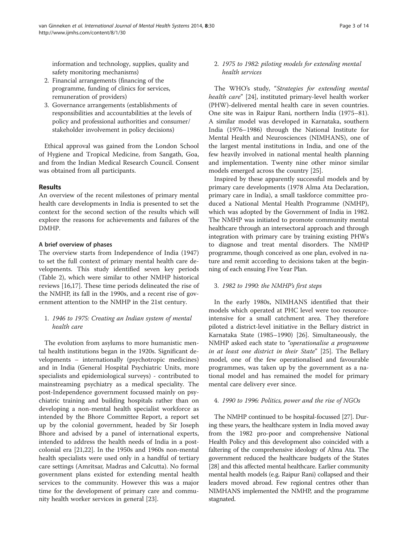information and technology, supplies, quality and safety monitoring mechanisms)

- 2. Financial arrangements (financing of the programme, funding of clinics for services, remuneration of providers)
- 3. Governance arrangements (establishments of responsibilities and accountabilities at the levels of policy and professional authorities and consumer/ stakeholder involvement in policy decisions)

Ethical approval was gained from the London School of Hygiene and Tropical Medicine, from Sangath, Goa, and from the Indian Medical Research Council. Consent was obtained from all participants.

## Results

An overview of the recent milestones of primary mental health care developments in India is presented to set the context for the second section of the results which will explore the reasons for achievements and failures of the DMHP.

## A brief overview of phases

The overview starts from Independence of India (1947) to set the full context of primary mental health care developments. This study identified seven key periods (Table [2\)](#page-3-0), which were similar to other NMHP historical reviews [\[16,17\]](#page-12-0). These time periods delineated the rise of the NMHP, its fall in the 1990s, and a recent rise of government attention to the NMHP in the 21st century.

## 1. 1946 to 1975: Creating an Indian system of mental health care

The evolution from asylums to more humanistic mental health institutions began in the 1920s. Significant developments – internationally (psychotropic medicines) and in India (General Hospital Psychiatric Units, more specialists and epidemiological surveys) - contributed to mainstreaming psychiatry as a medical speciality. The post-Independence government focussed mainly on psychiatric training and building hospitals rather than on developing a non-mental health specialist workforce as intended by the Bhore Committee Report, a report set up by the colonial government, headed by Sir Joseph Bhore and advised by a panel of international experts, intended to address the health needs of India in a postcolonial era [\[21,22](#page-12-0)]. In the 1950s and 1960s non-mental health specialists were used only in a handful of tertiary care settings (Amritsar, Madras and Calcutta). No formal government plans existed for extending mental health services to the community. However this was a major time for the development of primary care and community health worker services in general [\[23\]](#page-12-0).

## 2. 1975 to 1982: piloting models for extending mental health services

The WHO's study, "Strategies for extending mental health care" [[24\]](#page-12-0), instituted primary-level health worker (PHW)-delivered mental health care in seven countries. One site was in Raipur Rani, northern India (1975–81). A similar model was developed in Karnataka, southern India (1976–1986) through the National Institute for Mental Health and Neurosciences (NIMHANS), one of the largest mental institutions in India, and one of the few heavily involved in national mental health planning and implementation. Twenty nine other minor similar models emerged across the country [\[25](#page-12-0)].

Inspired by these apparently successful models and by primary care developments (1978 Alma Ata Declaration, primary care in India), a small taskforce committee produced a National Mental Health Programme (NMHP), which was adopted by the Government of India in 1982. The NMHP was initiated to promote community mental healthcare through an intersectoral approach and through integration with primary care by training existing PHWs to diagnose and treat mental disorders. The NMHP programme, though conceived as one plan, evolved in nature and remit according to decisions taken at the beginning of each ensuing Five Year Plan.

## 3. 1982 to 1990: the NMHP's first steps

In the early 1980s, NIMHANS identified that their models which operated at PHC level were too resourceintensive for a small catchment area. They therefore piloted a district-level initiative in the Bellary district in Karnataka State (1985–1990) [\[26\]](#page-12-0). Simultaneously, the NMHP asked each state to "operationalise a programme in at least one district in their State" [[25\]](#page-12-0). The Bellary model, one of the few operationalised and favourable programmes, was taken up by the government as a national model and has remained the model for primary mental care delivery ever since.

## 4. 1990 to 1996: Politics, power and the rise of NGOs

The NMHP continued to be hospital-focussed [\[27\]](#page-12-0). During these years, the healthcare system in India moved away from the 1982 pro-poor and comprehensive National Health Policy and this development also coincided with a faltering of the comprehensive ideology of Alma Ata. The government reduced the healthcare budgets of the States [[28](#page-12-0)] and this affected mental healthcare. Earlier community mental health models (e.g. Raipur Rani) collapsed and their leaders moved abroad. Few regional centres other than NIMHANS implemented the NMHP, and the programme stagnated.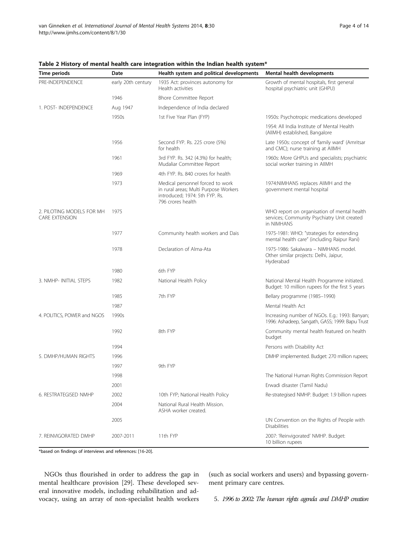| Time periods                                       | Date               | Health system and political developments                                                                                         | <b>Mental health developments</b>                                                                        |
|----------------------------------------------------|--------------------|----------------------------------------------------------------------------------------------------------------------------------|----------------------------------------------------------------------------------------------------------|
| PRE-INDEPENDENCE                                   | early 20th century | 1935 Act: provinces autonomy for<br>Health activities                                                                            | Growth of mental hospitals, first general<br>hospital psychiatric unit (GHPU)                            |
|                                                    | 1946               | <b>Bhore Committee Report</b>                                                                                                    |                                                                                                          |
| 1. POST- INDEPENDENCE                              | Aug 1947           | Independence of India declared                                                                                                   |                                                                                                          |
|                                                    | 1950s              | 1st Five Year Plan (FYP)                                                                                                         | 1950s: Psychotropic medications developed                                                                |
|                                                    |                    |                                                                                                                                  | 1954: All India Institute of Mental Health<br>(AllMH) established, Bangalore                             |
|                                                    | 1956               | Second FYP. Rs. 225 crore (5%)<br>for health                                                                                     | Late 1950s: concept of 'family ward' (Amritsar<br>and CMC); nurse training at AllMH                      |
|                                                    | 1961               | 3rd FYP. Rs. 342 (4.3%) for health;<br>Mudaliar Committee Report                                                                 | 1960s: More GHPUs and specialists; psychiatric<br>social worker training in AllMH                        |
|                                                    | 1969               | 4th FYP. Rs. 840 crores for health                                                                                               |                                                                                                          |
|                                                    | 1973               | Medical personnel forced to work<br>in rural areas; Multi Purpose Workers<br>introduced; 1974: 5th FYP. Rs.<br>796 crores health | 1974:NIMHANS replaces AllMH and the<br>government mental hospital                                        |
| 2. PILOTING MODELS FOR MH<br><b>CARE EXTENSION</b> | 1975               |                                                                                                                                  | WHO report on organisation of mental health<br>services; Community Psychiatry Unit created<br>in NIMHANS |
|                                                    | 1977               | Community health workers and Dais                                                                                                | 1975-1981: WHO: "strategies for extending<br>mental health care" (including Raipur Rani)                 |
|                                                    | 1978               | Declaration of Alma-Ata                                                                                                          | 1975-1986: Sakalwara - NIMHANS model.<br>Other similar projects: Delhi, Jaipur,<br>Hyderabad             |
|                                                    | 1980               | 6th FYP                                                                                                                          |                                                                                                          |
| 3. NMHP- INITIAL STEPS                             | 1982               | National Health Policy                                                                                                           | National Mental Health Programme initiated.<br>Budget: 10 million rupees for the first 5 years           |
|                                                    | 1985               | 7th FYP                                                                                                                          | Bellary programme (1985-1990)                                                                            |
|                                                    | 1987               |                                                                                                                                  | Mental Health Act                                                                                        |
| 4. POLITICS, POWER and NGOS                        | 1990s              |                                                                                                                                  | Increasing number of NGOs. E.g.: 1993: Banyan;<br>1996: Ashadeep, Sangath, GASS; 1999: Bapu Trust        |
|                                                    | 1992               | 8th FYP                                                                                                                          | Community mental health featured on health<br>budget                                                     |
|                                                    | 1994               |                                                                                                                                  | Persons with Disability Act                                                                              |
| 5. DMHP/HUMAN RIGHTS                               | 1996               |                                                                                                                                  | DMHP implemented. Budget: 270 million rupees;                                                            |
|                                                    | 1997               | 9th FYP                                                                                                                          |                                                                                                          |
|                                                    | 1998               |                                                                                                                                  | The National Human Rights Commission Report                                                              |
|                                                    | 2001               |                                                                                                                                  | Erwadi disaster (Tamil Nadu)                                                                             |
| 6. RESTRATEGISED NMHP                              | 2002               | 10th FYP; National Health Policy                                                                                                 | Re-strategised NMHP. Budget: 1.9 billion rupees                                                          |
|                                                    | 2004               | National Rural Health Mission.<br>ASHA worker created.                                                                           |                                                                                                          |
|                                                    | 2005               |                                                                                                                                  | UN Convention on the Rights of People with<br><b>Disabilities</b>                                        |
| 7. REINVIGORATED DMHP                              | 2007-2011          | 11th FYP                                                                                                                         | 2007: 'Reinvigorated' NMHP. Budget:<br>10 billion rupees                                                 |

<span id="page-3-0"></span>Table 2 History of mental health care integration within the Indian health system\*

\*based on findings of interviews and references: [[16-20](#page-12-0)].

NGOs thus flourished in order to address the gap in mental healthcare provision [[29\]](#page-12-0). These developed several innovative models, including rehabilitation and advocacy, using an array of non-specialist health workers (such as social workers and users) and bypassing government primary care centres.

5. 1996 to 2002: The human rights agenda and DMHP creation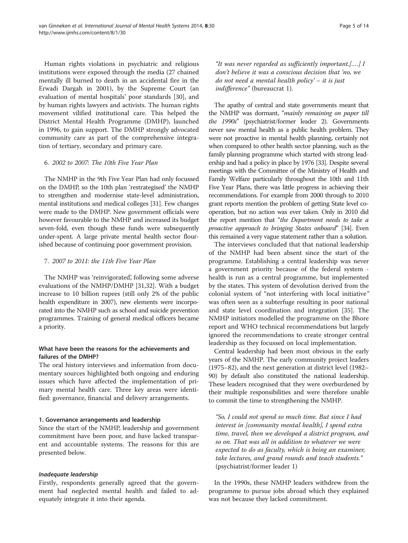Human rights violations in psychiatric and religious institutions were exposed through the media (27 chained mentally ill burned to death in an accidental fire in the Erwadi Dargah in 2001), by the Supreme Court (an evaluation of mental hospitals' poor standards [[30](#page-12-0)], and by human rights lawyers and activists. The human rights movement vilified institutional care. This helped the District Mental Health Programme (DMHP), launched in 1996, to gain support. The DMHP strongly advocated community care as part of the comprehensive integration of tertiary, secondary and primary care.

#### 6. 2002 to 2007: The 10th Five Year Plan

The NMHP in the 9th Five Year Plan had only focussed on the DMHP, so the 10th plan 'restrategised' the NMHP to strengthen and modernise state-level administration, mental institutions and medical colleges [\[31](#page-12-0)]. Few changes were made to the DMHP. New government officials were however favourable to the NMHP and increased its budget seven-fold, even though these funds were subsequently under-spent. A large private mental health sector flourished because of continuing poor government provision.

#### 7. 2007 to 2011: the 11th Five Year Plan

The NMHP was 'reinvigorated', following some adverse evaluations of the NMHP/DMHP [\[31,32\]](#page-12-0). With a budget increase to 10 billion rupees (still only 2% of the public health expenditure in 2007), new elements were incorporated into the NMHP such as school and suicide prevention programmes. Training of general medical officers became a priority.

#### What have been the reasons for the achievements and failures of the DMHP?

The oral history interviews and information from documentary sources highlighted both ongoing and enduring issues which have affected the implementation of primary mental health care. Three key areas were identified: governance, financial and delivery arrangements.

#### 1. Governance arrangements and leadership

Since the start of the NMHP, leadership and government commitment have been poor, and have lacked transparent and accountable systems. The reasons for this are presented below.

#### Inadequate leadership

Firstly, respondents generally agreed that the government had neglected mental health and failed to adequately integrate it into their agenda.

"It was never regarded as sufficiently important.[….] I don't believe it was a conscious decision that 'no, we do not need a mental health policy' – it is just indifference" (bureaucrat 1).

The apathy of central and state governments meant that the NMHP was dormant, "mainly remaining on paper till the 1990s" (psychiatrist/former leader 2). Governments never saw mental health as a public health problem. They were not proactive in mental health planning, certainly not when compared to other health sector planning, such as the family planning programme which started with strong leadership and had a policy in place by 1976 [\[33](#page-12-0)]. Despite several meetings with the Committee of the Ministry of Health and Family Welfare particularly throughout the 10th and 11th Five Year Plans, there was little progress in achieving their recommendations. For example from 2000 through to 2010 grant reports mention the problem of getting State level cooperation, but no action was ever taken. Only in 2010 did the report mention that "the Department needs to take a proactive approach to bringing States onboard" [\[34\]](#page-13-0). Even this remained a very vague statement rather than a solution.

The interviews concluded that that national leadership of the NMHP had been absent since the start of the programme. Establishing a central leadership was never a government priority because of the federal system health is run as a central programme, but implemented by the states. This system of devolution derived from the colonial system of "not interfering with local initiative" was often seen as a subterfuge resulting in poor national and state level coordination and integration [\[35](#page-13-0)]. The NMHP initiators modelled the programme on the Bhore report and WHO technical recommendations but largely ignored the recommendations to create stronger central leadership as they focussed on local implementation.

Central leadership had been most obvious in the early years of the NMHP. The early community project leaders (1975–82), and the next generation at district level (1982– 90) by default also constituted the national leadership. These leaders recognised that they were overburdened by their multiple responsibilities and were therefore unable to commit the time to strengthening the NMHP.

"So, I could not spend so much time. But since I had interest in [community mental health], I spend extra time, travel, then we developed a district program, and so on. That was all in addition to whatever we were expected to do as faculty, which is being an examiner, take lectures, and grand rounds and teach students." (psychiatrist/former leader 1)

In the 1990s, these NMHP leaders withdrew from the programme to pursue jobs abroad which they explained was not because they lacked commitment.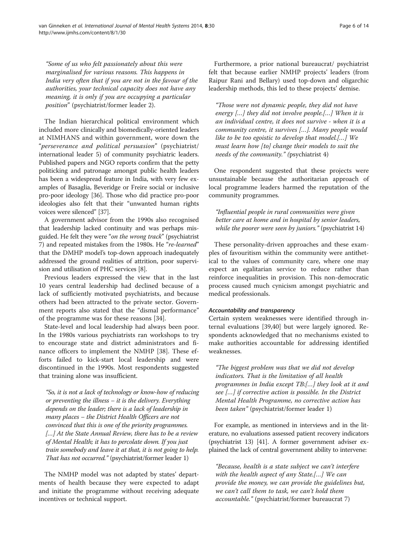"Some of us who felt passionately about this were marginalised for various reasons. This happens in India very often that if you are not in the favour of the authorities, your technical capacity does not have any meaning, it is only if you are occupying a particular position" (psychiatrist/former leader 2).

The Indian hierarchical political environment which included more clinically and biomedically-oriented leaders at NIMHANS and within government, wore down the "perseverance and political persuasion" (psychiatrist/ international leader 5) of community psychiatric leaders. Published papers and NGO reports confirm that the petty politicking and patronage amongst public health leaders has been a widespread feature in India, with very few examples of Basaglia, Beveridge or Freire social or inclusive pro-poor ideology [\[36\]](#page-13-0). Those who did practice pro-poor ideologies also felt that their "unwanted human rights voices were silenced" [\[37](#page-13-0)].

A government advisor from the 1990s also recognised that leadership lacked continuity and was perhaps misguided. He felt they were "on the wrong track" (psychiatrist 7) and repeated mistakes from the 1980s. He "re-learned" that the DMHP model's top-down approach inadequately addressed the ground realities of attrition, poor supervision and utilisation of PHC services [[8\]](#page-12-0).

Previous leaders expressed the view that in the last 10 years central leadership had declined because of a lack of sufficiently motivated psychiatrists, and because others had been attracted to the private sector. Government reports also stated that the "dismal performance" of the programme was for these reasons [\[34](#page-13-0)].

State-level and local leadership had always been poor. In the 1980s various psychiatrists ran workshops to try to encourage state and district administrators and finance officers to implement the NMHP [\[38](#page-13-0)]. These efforts failed to kick-start local leadership and were discontinued in the 1990s. Most respondents suggested that training alone was insufficient.

"So, it is not a lack of technology or know-how of reducing or preventing the illness – it is the delivery. Everything depends on the leader; there is a lack of leadership in many places – the District Health Officers are not convinced that this is one of the priority programmes. [...] At the State Annual Review, there has to be a review of Mental Health; it has to percolate down. If you just train somebody and leave it at that, it is not going to help. That has not occurred." (psychiatrist/former leader 1)

The NMHP model was not adapted by states' departments of health because they were expected to adapt and initiate the programme without receiving adequate incentives or technical support.

Furthermore, a prior national bureaucrat/ psychiatrist felt that because earlier NMHP projects' leaders (from Raipur Rani and Bellary) used top-down and oligarchic leadership methods, this led to these projects' demise.

"Those were not dynamic people, they did not have energy [...] they did not involve people.[...] When it is an individual centre, it does not survive - when it is a community centre, it survives […]. Many people would like to be too egoistic to develop that model.[…] We must learn how [to] change their models to suit the needs of the community." (psychiatrist 4)

One respondent suggested that these projects were unsustainable because the authoritarian approach of local programme leaders harmed the reputation of the community programmes.

"Influential people in rural communities were given better care at home and in hospital by senior leaders, while the poorer were seen by juniors." (psychiatrist 14)

These personality-driven approaches and these examples of favouritism within the community were antithetical to the values of community care, where one may expect an egalitarian service to reduce rather than reinforce inequalities in provision. This non-democratic process caused much cynicism amongst psychiatric and medical professionals.

#### Accountability and transparency

Certain system weaknesses were identified through internal evaluations [[39](#page-13-0),[40](#page-13-0)] but were largely ignored. Respondents acknowledged that no mechanisms existed to make authorities accountable for addressing identified weaknesses.

"The biggest problem was that we did not develop indicators. That is the limitation of all health programmes in India except TB:[…] they look at it and see […] if corrective action is possible. In the District Mental Health Programme, no corrective action has been taken" (psychiatrist/former leader 1)

For example, as mentioned in interviews and in the literature, no evaluations assessed patient recovery indicators (psychiatrist 13) [\[41](#page-13-0)]. A former government adviser explained the lack of central government ability to intervene:

"Because, health is a state subject we can't interfere with the health aspect of any State.[…] We can provide the money, we can provide the guidelines but, we can't call them to task, we can't hold them accountable." (psychiatrist/former bureaucrat 7)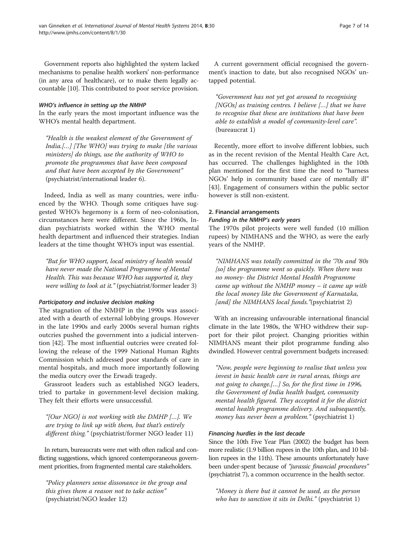Government reports also highlighted the system lacked mechanisms to penalise health workers' non-performance (in any area of healthcare), or to make them legally accountable [\[10](#page-12-0)]. This contributed to poor service provision.

#### WHO's influence in setting up the NMHP

In the early years the most important influence was the WHO's mental health department.

"Health is the weakest element of the Government of India.[…] [The WHO] was trying to make [the various ministers] do things, use the authority of WHO to promote the programmes that have been composed and that have been accepted by the Government" (psychiatrist/international leader 6).

Indeed, India as well as many countries, were influenced by the WHO. Though some critiques have suggested WHO's hegemony is a form of neo-colonisation, circumstances here were different. Since the 1960s, Indian psychiatrists worked within the WHO mental health department and influenced their strategies. Indian leaders at the time thought WHO's input was essential.

"But for WHO support, local ministry of health would have never made the National Programme of Mental Health. This was because WHO has supported it, they were willing to look at it." (psychiatrist/former leader 3)

#### Participatory and inclusive decision making

The stagnation of the NMHP in the 1990s was associated with a dearth of external lobbying groups. However in the late 1990s and early 2000s several human rights outcries pushed the government into a judicial intervention [\[42](#page-13-0)]. The most influential outcries were created following the release of the 1999 National Human Rights Commission which addressed poor standards of care in mental hospitals, and much more importantly following the media outcry over the Erwadi tragedy.

Grassroot leaders such as established NGO leaders, tried to partake in government-level decision making. They felt their efforts were unsuccessful.

"[Our NGO] is not working with the DMHP […]. We are trying to link up with them, but that's entirely different thing." (psychiatrist/former NGO leader 11)

In return, bureaucrats were met with often radical and conflicting suggestions, which ignored contemporaneous government priorities, from fragmented mental care stakeholders.

"Policy planners sense dissonance in the group and this gives them a reason not to take action" (psychiatrist/NGO leader 12)

A current government official recognised the government's inaction to date, but also recognised NGOs' untapped potential.

"Government has not yet got around to recognising [NGOs] as training centres. I believe [...] that we have to recognise that these are institutions that have been able to establish a model of community-level care". (bureaucrat 1)

Recently, more effort to involve different lobbies, such as in the recent revision of the Mental Health Care Act, has occurred. The challenges highlighted in the 10th plan mentioned for the first time the need to "harness NGOs' help in community based care of mentally ill" [[43\]](#page-13-0). Engagement of consumers within the public sector however is still non-existent.

## 2. Financial arrangements Funding in the NMHP's early years

The 1970s pilot projects were well funded (10 million rupees) by NIMHANS and the WHO, as were the early years of the NMHP.

"NIMHANS was totally committed in the '70s and '80s [so] the programme went so quickly. When there was no money- the District Mental Health Programme came up without the NMHP money – it came up with the local money like the Government of Karnataka, [and] the NIMHANS local funds."(psychiatrist 2)

With an increasing unfavourable international financial climate in the late 1980s, the WHO withdrew their support for their pilot project. Changing priorities within NIMHANS meant their pilot programme funding also dwindled. However central government budgets increased:

"Now, people were beginning to realise that unless you invest in basic health care in rural areas, things are not going to change.[…] So, for the first time in 1996, the Government of India health budget, community mental health figured. They accepted it for the district mental health programme delivery. And subsequently, money has never been a problem." (psychiatrist 1)

#### Financing hurdles in the last decade

Since the 10th Five Year Plan (2002) the budget has been more realistic (1.9 billion rupees in the 10th plan, and 10 billion rupees in the 11th). These amounts unfortunately have been under-spent because of "jurassic financial procedures" (psychiatrist 7), a common occurrence in the health sector.

"Money is there but it cannot be used, as the person who has to sanction it sits in Delhi." (psychiatrist 1)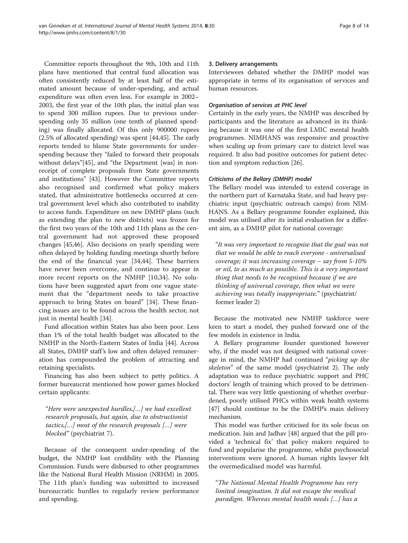Committee reports throughout the 9th, 10th and 11th plans have mentioned that central fund allocation was often consistently reduced by at least half of the estimated amount because of under-spending, and actual expenditure was often even less. For example in 2002– 2003, the first year of the 10th plan, the initial plan was to spend 300 million rupees. Due to previous underspending only 35 million (one tenth of planned spending) was finally allocated. Of this only 900000 rupees (2.5% of allocated spending) was spent [[44](#page-13-0),[45](#page-13-0)]. The early reports tended to blame State governments for underspending because they "failed to forward their proposals without delays"[\[45](#page-13-0)], and "the Department [was] in nonreceipt of complete proposals from State governments and institutions" [\[43](#page-13-0)]. However the Committee reports also recognised and confirmed what policy makers stated, that administrative bottlenecks occurred at central government level which also contributed to inability to access funds. Expenditure on new DMHP plans (such as extending the plan to new districts) was frozen for the first two years of the 10th and 11th plans as the central government had not approved these proposed changes [[45,46\]](#page-13-0). Also decisions on yearly spending were often delayed by holding funding meetings shortly before the end of the financial year [\[34,44](#page-13-0)]. These barriers have never been overcome, and continue to appear in more recent reports on the NMHP [[10,](#page-12-0)[34](#page-13-0)]. No solutions have been suggested apart from one vague statement that the "department needs to take proactive approach to bring States on board" [\[34](#page-13-0)]. These financing issues are to be found across the health sector, not just in mental health [\[34](#page-13-0)].

Fund allocation within States has also been poor. Less than 1% of the total health budget was allocated to the NMHP in the North-Eastern States of India [[44](#page-13-0)]. Across all States, DMHP staff's low and often delayed remuneration has compounded the problem of attracting and retaining specialists.

Financing has also been subject to petty politics. A former bureaucrat mentioned how power games blocked certain applicants:

"Here were unexpected hurdles,[…] we had excellent research proposals, but again, due to obstructionist tactics,[…] most of the research proposals […] were blocked" (psychiatrist 7).

Because of the consequent under-spending of the budget, the NMHP lost credibility with the Planning Commission. Funds were disbursed to other programmes like the National Rural Health Mission (NRHM) in 2005. The 11th plan's funding was submitted to increased bureaucratic hurdles to regularly review performance and spending.

#### 3. Delivery arrangements

Interviewees debated whether the DMHP model was appropriate in terms of its organisation of services and human resources.

#### Organisation of services at PHC level

Certainly in the early years, the NMHP was described by participants and the literature as advanced in its thinking because it was one of the first LMIC mental health programmes. NIMHANS was responsive and proactive when scaling up from primary care to district level was required. It also had positive outcomes for patient detection and symptom reduction [\[26](#page-12-0)].

#### Criticisms of the Bellary (DMHP) model

The Bellary model was intended to extend coverage in the northern part of Karnataka State, and had heavy psychiatric input (psychiatric outreach camps) from NIM-HANS. As a Bellary programme founder explained, this model was utilised after its initial evaluation for a different aim, as a DMHP pilot for national coverage:

"It was very important to recognise that the goal was not that we would be able to reach everyone - universalised coverage; it was increasing coverage – say from 5-10% or nil, to as much as possible. This is a very important thing that needs to be recognised because if we are thinking of universal coverage, then what we were achieving was totally inappropriate." (psychiatrist/ former leader 2)

Because the motivated new NMHP taskforce were keen to start a model, they pushed forward one of the few models in existence in India.

A Bellary programme founder questioned however why, if the model was not designed with national coverage in mind, the NMHP had continued "*picking up the* skeleton" of the same model (psychiatrist 2). The only adaptation was to reduce psychiatric support and PHC doctors' length of training which proved to be detrimental. There was very little questioning of whether overburdened, poorly utilised PHCs within weak health systems [[47\]](#page-13-0) should continue to be the DMHP's main delivery mechanism.

This model was further criticised for its sole focus on medication. Jain and Jadhav [\[48\]](#page-13-0) argued that the pill provided a 'technical fix' that policy makers required to fund and popularise the programme, whilst psychosocial interventions were ignored. A human rights lawyer felt the overmedicalised model was harmful.

"The National Mental Health Programme has very limited imagination. It did not escape the medical paradigm. Whereas mental health needs […] has a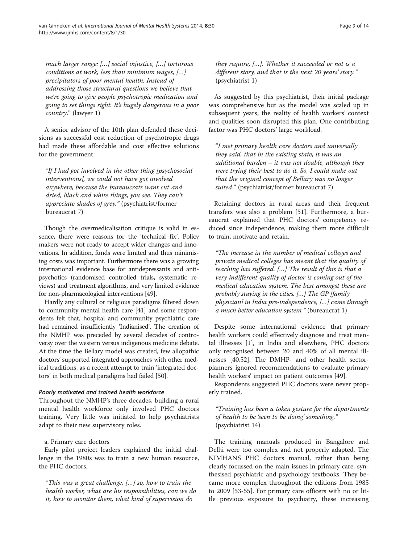much larger range: […] social injustice, […] torturous conditions at work, less than minimum wages, […] precipitators of poor mental health. Instead of addressing those structural questions we believe that we're going to give people psychotropic medication and going to set things right. It's hugely dangerous in a poor country." (lawyer 1)

A senior advisor of the 10th plan defended these decisions as successful cost reduction of psychotropic drugs had made these affordable and cost effective solutions for the government:

"If I had got involved in the other thing [psychosocial interventions], we could not have got involved anywhere; because the bureaucrats want cut and dried, black and white things, you see. They can't appreciate shades of grey." (psychiatrist/former bureaucrat 7)

Though the overmedicalisation critique is valid in essence, there were reasons for the 'technical fix'. Policy makers were not ready to accept wider changes and innovations. In addition, funds were limited and thus minimising costs was important. Furthermore there was a growing international evidence base for antidepressants and antipsychotics (randomised controlled trials, systematic reviews) and treatment algorithms, and very limited evidence for non-pharmacological interventions [\[49\]](#page-13-0).

Hardly any cultural or religious paradigms filtered down to community mental health care [[41](#page-13-0)] and some respondents felt that, hospital and community psychiatric care had remained insufficiently 'Indianised'. The creation of the NMHP was preceded by several decades of controversy over the western versus indigenous medicine debate. At the time the Bellary model was created, few allopathic doctors' supported integrated approaches with other medical traditions, as a recent attempt to train 'integrated doctors' in both medical paradigms had failed [\[50\]](#page-13-0).

## Poorly motivated and trained health workforce

Throughout the NMHP's three decades, building a rural mental health workforce only involved PHC doctors training. Very little was initiated to help psychiatrists adapt to their new supervisory roles.

## a. Primary care doctors

Early pilot project leaders explained the initial challenge in the 1980s was to train a new human resource, the PHC doctors.

"This was a great challenge, […] so, how to train the health worker, what are his responsibilities, can we do it, how to monitor them, what kind of supervision do

they require, […]. Whether it succeeded or not is a different story, and that is the next 20 years' story." (psychiatrist 1)

As suggested by this psychiatrist, their initial package was comprehensive but as the model was scaled up in subsequent years, the reality of health workers' context and qualities soon disrupted this plan. One contributing factor was PHC doctors' large workload.

"I met primary health care doctors and universally they said, that in the existing state, it was an additional burden – it was not doable, although they were trying their best to do it. So, I could make out that the original concept of Bellary was no longer suited." (psychiatrist/former bureaucrat 7)

Retaining doctors in rural areas and their frequent transfers was also a problem [\[51](#page-13-0)]. Furthermore, a bureaucrat explained that PHC doctors' competency reduced since independence, making them more difficult to train, motivate and retain.

"The increase in the number of medical colleges and private medical colleges has meant that the quality of teaching has suffered. […] The result of this is that a very indifferent quality of doctor is coming out of the medical education system. The best amongst these are probably staying in the cities. […] The GP [family physician] in India pre-independence, […] came through a much better education system." (bureaucrat 1)

Despite some international evidence that primary health workers could effectively diagnose and treat mental illnesses [[1](#page-12-0)], in India and elsewhere, PHC doctors only recognised between 20 and 40% of all mental illnesses [\[40,52\]](#page-13-0). The DMHP- and other health sectorplanners ignored recommendations to evaluate primary health workers' impact on patient outcomes [\[49](#page-13-0)].

Respondents suggested PHC doctors were never properly trained.

"Training has been a token gesture for the departments of health to be 'seen to be doing' something." (psychiatrist 14)

The training manuals produced in Bangalore and Delhi were too complex and not properly adapted. The NIMHANS PHC doctors manual, rather than being clearly focussed on the main issues in primary care, synthesised psychiatric and psychology textbooks. They became more complex throughout the editions from 1985 to 2009 [\[53](#page-13-0)-[55\]](#page-13-0). For primary care officers with no or little previous exposure to psychiatry, these increasing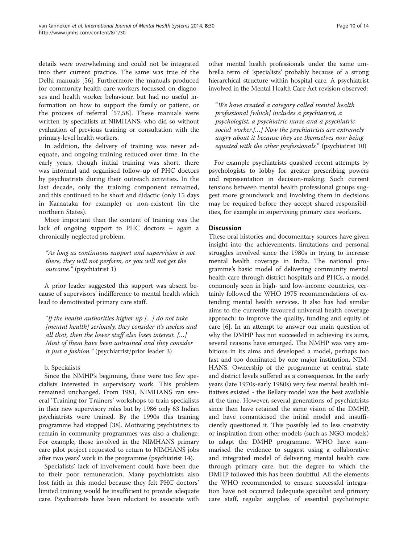details were overwhelming and could not be integrated into their current practice. The same was true of the Delhi manuals [\[56](#page-13-0)]. Furthermore the manuals produced for community health care workers focussed on diagnoses and health worker behaviour, but had no useful information on how to support the family or patient, or the process of referral [[57,58\]](#page-13-0). These manuals were written by specialists at NIMHANS, who did so without evaluation of previous training or consultation with the primary-level health workers.

In addition, the delivery of training was never adequate, and ongoing training reduced over time. In the early years, though initial training was short, there was informal and organised follow-up of PHC doctors by psychiatrists during their outreach activities. In the last decade, only the training component remained, and this continued to be short and didactic (only 15 days in Karnataka for example) or non-existent (in the northern States).

More important than the content of training was the lack of ongoing support to PHC doctors – again a chronically neglected problem.

"As long as continuous support and supervision is not there, they will not perform, or you will not get the outcome." (psychiatrist 1)

A prior leader suggested this support was absent because of supervisors' indifference to mental health which lead to demotivated primary care staff.

"If the health authorities higher up […] do not take [mental health] seriously, they consider it's useless and all that, then the lower staff also loses interest. […] Most of them have been untrained and they consider it just a fashion." (psychiatrist/prior leader 3)

## b. Specialists

Since the NMHP's beginning, there were too few specialists interested in supervisory work. This problem remained unchanged. From 1981, NIMHANS ran several 'Training for Trainers' workshops to train specialists in their new supervisory roles but by 1986 only 63 Indian psychiatrists were trained. By the 1990s this training programme had stopped [[38](#page-13-0)]. Motivating psychiatrists to remain in community programmes was also a challenge. For example, those involved in the NIMHANS primary care pilot project requested to return to NIMHANS jobs after two years' work in the programme (psychiatrist 14).

Specialists' lack of involvement could have been due to their poor remuneration. Many psychiatrists also lost faith in this model because they felt PHC doctors' limited training would be insufficient to provide adequate care. Psychiatrists have been reluctant to associate with other mental health professionals under the same umbrella term of 'specialists' probably because of a strong hierarchical structure within hospital care. A psychiatrist involved in the Mental Health Care Act revision observed:

"We have created a category called mental health professional [which] includes a psychiatrist, a psychologist, a psychiatric nurse and a psychiatric social worker.[…] Now the psychiatrists are extremely angry about it because they see themselves now being equated with the other professionals." (psychiatrist 10)

For example psychiatrists quashed recent attempts by psychologists to lobby for greater prescribing powers and representation in decision-making. Such current tensions between mental health professional groups suggest more groundwork and involving them in decisions may be required before they accept shared responsibilities, for example in supervising primary care workers.

#### **Discussion**

These oral histories and documentary sources have given insight into the achievements, limitations and personal struggles involved since the 1980s in trying to increase mental health coverage in India. The national programme's basic model of delivering community mental health care through district hospitals and PHCs, a model commonly seen in high- and low-income countries, certainly followed the WHO 1975 recommendations of extending mental health services. It also has had similar aims to the currently favoured universal health coverage approach: to improve the quality, funding and equity of care [[6\]](#page-12-0). In an attempt to answer our main question of why the DMHP has not succeeded in achieving its aims, several reasons have emerged. The NMHP was very ambitious in its aims and developed a model, perhaps too fast and too dominated by one major institution, NIM-HANS. Ownership of the programme at central, state and district levels suffered as a consequence. In the early years (late 1970s-early 1980s) very few mental health initiatives existed - the Bellary model was the best available at the time. However, several generations of psychiatrists since then have retained the same vision of the DMHP, and have romanticised the initial model and insufficiently questioned it. This possibly led to less creativity or inspiration from other models (such as NGO models) to adapt the DMHP programme. WHO have summarised the evidence to suggest using a collaborative and integrated model of delivering mental health care through primary care, but the degree to which the DMHP followed this has been doubtful. All the elements the WHO recommended to ensure successful integration have not occurred (adequate specialist and primary care staff, regular supplies of essential psychotropic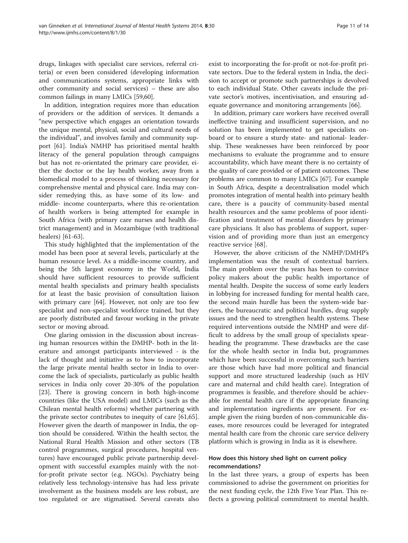drugs, linkages with specialist care services, referral criteria) or even been considered (developing information and communications systems, appropriate links with other community and social services) – these are also common failings in many LMICs [[59](#page-13-0),[60](#page-13-0)].

In addition, integration requires more than education of providers or the addition of services. It demands a "new perspective which engages an orientation towards the unique mental, physical, social and cultural needs of the individual", and involves family and community support [[61\]](#page-13-0). India's NMHP has prioritised mental health literacy of the general population through campaigns but has not re-orientated the primary care provider, either the doctor or the lay health worker, away from a biomedical model to a process of thinking necessary for comprehensive mental and physical care. India may consider remedying this, as have some of its low- and middle- income counterparts, where this re-orientation of health workers is being attempted for example in South Africa (with primary care nurses and health district management) and in Mozambique (with traditional healers) [[61](#page-13-0)-[63\]](#page-13-0).

This study highlighted that the implementation of the model has been poor at several levels, particularly at the human resource level. As a middle-income country, and being the 5th largest economy in the World, India should have sufficient resources to provide sufficient mental health specialists and primary health specialists for at least the basic provision of consultation liaison with primary care [[64\]](#page-13-0). However, not only are too few specialist and non-specialist workforce trained, but they are poorly distributed and favour working in the private sector or moving abroad.

One glaring omission in the discussion about increasing human resources within the DMHP- both in the literature and amongst participants interviewed - is the lack of thought and initiative as to how to incorporate the large private mental health sector in India to overcome the lack of specialists, particularly as public health services in India only cover 20-30% of the population [[23\]](#page-12-0). There is growing concern in both high-income countries (like the USA model) and LMICs (such as the Chilean mental health reforms) whether partnering with the private sector contributes to inequity of care [\[61,65](#page-13-0)]. However given the dearth of manpower in India, the option should be considered. Within the health sector, the National Rural Health Mission and other sectors (TB control programmes, surgical procedures, hospital ventures) have encouraged public private partnership development with successful examples mainly with the notfor-profit private sector (e.g. NGOs). Psychiatry being relatively less technology-intensive has had less private involvement as the business models are less robust, are too regulated or are stigmatised. Several caveats also

exist to incorporating the for-profit or not-for-profit private sectors. Due to the federal system in India, the decision to accept or promote such partnerships is devolved to each individual State. Other caveats include the private sector's motives, incentivisation, and ensuring adequate governance and monitoring arrangements [[66](#page-13-0)].

In addition, primary care workers have received overall ineffective training and insufficient supervision, and no solution has been implemented to get specialists onboard or to ensure a sturdy state- and national- leadership. These weaknesses have been reinforced by poor mechanisms to evaluate the programme and to ensure accountability, which have meant there is no certainty of the quality of care provided or of patient outcomes. These problems are common to many LMICs [\[67](#page-13-0)]. For example in South Africa, despite a decentralisation model which promotes integration of mental health into primary health care, there is a paucity of community-based mental health resources and the same problems of poor identification and treatment of mental disorders by primary care physicians. It also has problems of support, supervision and of providing more than just an emergency reactive service [[68\]](#page-13-0).

However, the above criticism of the NMHP/DMHP's implementation was the result of contextual barriers. The main problem over the years has been to convince policy makers about the public health importance of mental health. Despite the success of some early leaders in lobbying for increased funding for mental health care, the second main hurdle has been the system-wide barriers, the bureaucratic and political hurdles, drug supply issues and the need to strengthen health systems. These required interventions outside the NMHP and were difficult to address by the small group of specialists spearheading the programme. These drawbacks are the case for the whole health sector in India but, programmes which have been successful in overcoming such barriers are those which have had more political and financial support and more structured leadership (such as HIV care and maternal and child health care). Integration of programmes is feasible, and therefore should be achievable for mental health care if the appropriate financing and implementation ingredients are present. For example given the rising burden of non-communicable diseases, more resources could be leveraged for integrated mental health care from the chronic care service delivery platform which is growing in India as it is elsewhere.

## How does this history shed light on current policy recommendations?

In the last three years, a group of experts has been commissioned to advise the government on priorities for the next funding cycle, the 12th Five Year Plan. This reflects a growing political commitment to mental health.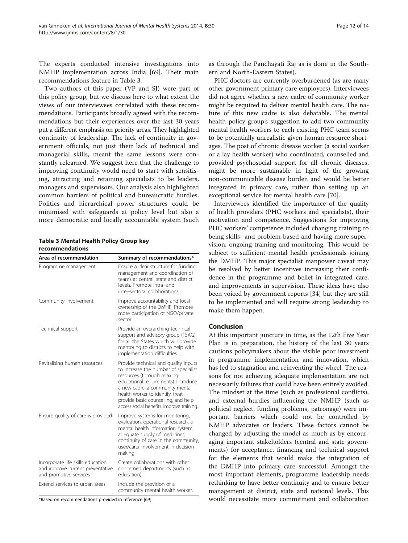The experts conducted intensive investigations into NMHP implementation across India [[69\]](#page-13-0). Their main recommendations feature in Table 3.

Two authors of this paper (VP and SJ) were part of this policy group, but we discuss here to what extent the views of our interviewees correlated with these recommendations. Participants broadly agreed with the recommendations but their experiences over the last 30 years put a different emphasis on priority areas. They highlighted continuity of leadership. The lack of continuity in government officials, not just their lack of technical and managerial skills, meant the same lessons were constantly relearned. We suggest here that the challenge to improving continuity would need to start with sensitising, attracting and retaining specialists to be leaders, managers and supervisors. Our analysis also highlighted common barriers of political and bureaucratic hurdles. Politics and hierarchical power structures could be minimised with safeguards at policy level but also a more democratic and locally accountable system (such

| recommendations                                                                                 |                                                                                                                                                                                                                                                                                                                 |  |  |
|-------------------------------------------------------------------------------------------------|-----------------------------------------------------------------------------------------------------------------------------------------------------------------------------------------------------------------------------------------------------------------------------------------------------------------|--|--|
| Area of recommendation                                                                          | Summary of recommendations*                                                                                                                                                                                                                                                                                     |  |  |
| Programme management                                                                            | Ensure a clear structure for funding,<br>management and coordination of<br>teams at central, state and district<br>levels. Promote intra- and<br>inter-sectoral collaborations.                                                                                                                                 |  |  |
| Community involvement                                                                           | Improve accountability and local<br>ownership of the DMHP. Promote<br>more participation of NGO/private<br>sector.                                                                                                                                                                                              |  |  |
| Technical support                                                                               | Provide an overarching technical<br>support and advisory group (TSAG)<br>for all the States which will provide<br>mentoring to districts to help with<br>implementation difficulties.                                                                                                                           |  |  |
| Revitalising human resources:                                                                   | Provide technical and quality inputs<br>to increase the number of specialist<br>resources (through relaxing<br>educational requirements). Introduce<br>a new cadre, a community mental<br>health worker to identify, treat,<br>provide basic counselling, and help<br>access social benefits. Improve training. |  |  |
| Ensure quality of care is provided                                                              | Improve systems for monitoring,<br>evaluation, operational research, a<br>mental health information system,<br>adequate supply of medicines,<br>continuity of care in the community,<br>user/carer involvement in decision<br>making.                                                                           |  |  |
| Incorporate life skills education<br>and improve current preventative<br>and promotive services | Create collaborations with other<br>concerned departments (such as<br>education).                                                                                                                                                                                                                               |  |  |
| Extend services to urban areas                                                                  | Include the provision of a<br>community mental health worker.                                                                                                                                                                                                                                                   |  |  |

Table 3 Mental Health Policy Group key

\*Based on recommendations provided in reference [\[69](#page-13-0)].

as through the Panchayati Raj as is done in the Southern and North-Eastern States).

PHC doctors are currently overburdened (as are many other government primary care employees). Interviewees did not agree whether a new cadre of community worker might be required to deliver mental health care. The nature of this new cadre is also debatable. The mental health policy group's suggestion to add two community mental health workers to each existing PHC team seems to be potentially unrealistic given human resource shortages. The post of chronic disease worker (a social worker or a lay health worker) who coordinated, counselled and provided psychosocial support for all chronic diseases, might be more sustainable in light of the growing non-communicable disease burden and would be better integrated in primary care, rather than setting up an exceptional service for mental health care [[70\]](#page-13-0).

Interviewees identified the importance of the quality of health providers (PHC workers and specialists), their motivation and competence. Suggestions for improving PHC workers' competence included changing training to being skills- and problem-based and having more supervision, ongoing training and monitoring. This would be subject to sufficient mental health professionals joining the DMHP. This major specialist manpower caveat may be resolved by better incentives increasing their confidence in the programme and belief in integrated care, and improvements in supervision. These ideas have also been voiced by government reports [[34\]](#page-13-0) but they are still to be implemented and will require strong leadership to make them happen.

## Conclusion

At this important juncture in time, as the 12th Five Year Plan is in preparation, the history of the last 30 years cautions policymakers about the visible poor investment in programme implementation and innovation, which has led to stagnation and reinventing the wheel. The reasons for not achieving adequate implementation are not necessarily failures that could have been entirely avoided. The mindset at the time (such as professional conflicts), and external hurdles influencing the NMHP (such as political neglect, funding problems, patronage) were important barriers which could not be controlled by NMHP advocates or leaders. These factors cannot be changed by adjusting the model as much as by encouraging important stakeholders (central and state governments) for acceptance, financing and technical support for the elements that would make the integration of the DMHP into primary care successful. Amongst the most important elements, programme leadership needs rethinking to have better continuity and to ensure better management at district, state and national levels. This would necessitate more commitment and collaboration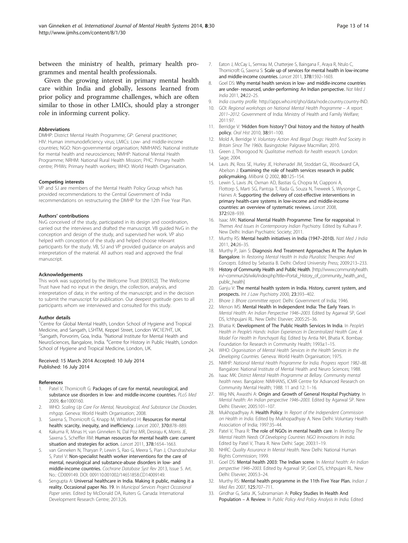<span id="page-12-0"></span>between the ministry of health, primary health programmes and mental health professionals.

Given the growing interest in primary mental health care within India and globally, lessons learned from prior policy and programme challenges, which are often similar to those in other LMICs, should play a stronger role in informing current policy.

#### Abbreviations

DMHP: District Mental Health Programme; GP: General practitioner; HIV: Human immunodeficiency virus; LMICs: Low- and middle-income countries; NGO: Non-governmental organisation; NIMHANS: National institute for mental health and neurosciences; NMHP: National Mental Health Programme; NRHM: National Rural Health Mission; PHC: Primary health centre; PHWs: Primary health workers; WHO: World Health Organisation.

#### Competing interests

VP and SJ are members of the Mental Health Policy Group which has provided recommendations to the Central Government of India recommendations on restructuring the DMHP for the 12th Five Year Plan.

#### Authors' contributions

NvG conceived of the study, participated in its design and coordination, carried out the interviews and drafted the manuscript. VB guided NvG in the conception and design of the study, and supervised her work. VP also helped with conception of the study and helped choose relevant participants for the study. VB, SJ and VP provided guidance on analysis and interpretation of the material. All authors read and approved the final manuscript.

#### Acknowledgements

This work was supported by the Wellcome Trust [090352]. The Wellcome Trust have had no input in the design, the collection, analysis, and interpretation of data; in the writing of the manuscript; and in the decision to submit the manuscript for publication. Our deepest gratitude goes to all participants whom we interviewed and consulted for this study.

#### Author details

<sup>1</sup>Centre for Global Mental Health, London School of Hygiene and Tropical Medicine, and Sangath, LSHTM, Keppel Street, London WC1E7HT, UK. <sup>2</sup>Sangath, Porvorim, Goa, India. <sup>3</sup>National Institute for Mental Health and NeuroSciences, Bangalore, India. <sup>4</sup>Centre for History in Public Health, London School of Hygiene and Tropical Medicine, London, UK.

#### Received: 15 March 2014 Accepted: 10 July 2014 Published: 16 July 2014

#### References

- Patel V, Thornicroft G: Packages of care for mental, neurological, and substance use disorders in low- and middle-income countries. PLoS Med 2009, 6:e1000160.
- 2. WHO: Scaling Up Care For Mental, Neurological, And Substance Use Disorders. mhgap. Geneva: World Health Organisation; 2008.
- 3. Saxena S, Thornicroft G, Knapp M, Whiteford H: Resources for mental health: scarcity, inequity, and inefficiency. Lancet 2007, 370:878–889.
- 4. Kakuma R, Minas H, van Ginneken N, Dal Poz MR, Desiraju K, Morris JE, Saxena S, Scheffler RM: Human resources for mental health care: current situation and strategies for action. Lancet 2011, 378:1654–1663.
- 5. van Ginneken N, Tharyan P, Lewin S, Rao G, Meera S, Pian J, Chandrashekar S, Patel V: Non-specialist health worker interventions for the care of mental, neurological and substance-abuse disorders in low- and middle-income countries. Cochrane Database Syst Rev 2013, Issue 5. Art. No.: CD009149. DOI: 009110.001002/14651858.CD14009149.
- Sengupta A: Universal healthcare in India. Making it public, making it a reality. Occasional paper No. 19. In Municipal Services Project Occasional Paper series. Edited by McDonald DA, Ruiters G. Canada: International Development Research Centre; 2013:26.
- 7. Eaton J, McCay L, Semrau M, Chatterjee S, Baingana F, Araya R, Ntulo C, Thornicroft G, Saxena S: Scale up of services for mental health in low-income and middle-income countries. Lancet 2011, 378:1592-1603.
- 8. Goel DS: Why mental health services in low- and middle-income countries are under- resourced, under-performing: An Indian perspective. Nat Med J India 2011, 24:22–25.
- 9. India country profile. [http://apps.who.int/gho/data/node.country.country-IND.](http://apps.who.int/gho/data/node.country.country-IND)
- 10. GOI: Regional workshops on National Mental Health Programme A report. 2011–2012. Government of India: Ministry of Health and Family Welfare; 2011:97.
- 11. Berridge V: 'Hidden from history'? Oral history and the history of health policy. Oral Hist 2010, 38:91–100.
- 12. Mold A, Berridge V: Voluntary Action And Illegal Drugs: Health And Society In Britain Since The 1960s. Basingstoke: Palgrave Macmillan; 2010.
- 13. Green J, Thorogood N: Qualitative methods for health research. London: Sage; 2004.
- 14. Lavis JN, Ross SE, Hurley JE, Hohenadel JM, Stoddart GL, Woodward CA, Abelson J: Examining the role of health services research in public policymaking. Milbank Q 2002, 80:125–154.
- 15. Lewin S, Lavis JN, Oxman AD, Bastias G, Chopra M, Ciapponi A, Flottorp S, Marti SG, Pantoja T, Rada G, Souza N, Treweek S, Wiysonge C, Haines A: Supporting the delivery of cost-effective interventions in primary health-care systems in low-income and middle-income countries: an overview of systematic reviews. Lancet 2008, 372:928–939.
- 16. Isaac MK: National Mental Health Programme: Time for reappraisal. In Themes And Issues In Contemporary Indian Psychiatry. Edited by Kulhara P. New Delhi: Indian Psychiatric Society; 2011.
- 17. Murthy RS: Mental health initiatives in India (1947-2010). Natl Med J India 2011, 24:26–35.
- 18. Murthy P, Jain S: Diagnosis And Treatment Approaches At The Asylum In Bangalore. In Restoring Mental Health In India Pluralistic Therapies And Concepts. Edited by Sebastia B. Delhi: Oxford University Press; 2009:213–233.
- 19. History of Community Health and Public Health. [\[http://www.communityhealth.](http://www.communityhealth.in/~commun26/wiki/index.php?title=Portal:_History_of_community_health_and_public_health) [in/~commun26/wiki/index.php?title=Portal:\\_History\\_of\\_community\\_health\\_and\\_](http://www.communityhealth.in/~commun26/wiki/index.php?title=Portal:_History_of_community_health_and_public_health) [public\\_health\]](http://www.communityhealth.in/~commun26/wiki/index.php?title=Portal:_History_of_community_health_and_public_health)
- 20. Ganju V: The mental health system in India. History, current system, and prospects. Int J Law Psychiatry 2000, 23:393-402.
- 21. Bhore J: Bhore committee report. Delhi: Government of India; 1946.
- 22. Menon MS: Mental Health In Independent India: The Early Years. In Mental Health: An Indian Perspective 1946–2003. Edited by Agarwal SP, Goel DS, Ichhpujani RL. New Delhi: Elsevier; 2005:25–36.
- 23. Bhatia K: Development of The Public Health Services In India. In People's Health in People's Hands: Indian Experiences In Decentralized Health Care, A Model For Health In Panchayati Raj. Edited by Antia NH, Bhatia K. Bombay: Foundation for Research in Community Health; 1993a:1–15.
- 24. WHO: Organisation of Mental Health Services in the Health Services in the Developing Countries. Geneva: World Health Organisation; 1975.
- 25. NMHP: National Mental Health Programme for India. Progress report 1982–88. Bangalore: National Institute of Mental Health and Neuro Sciences; 1988.
- 26. Isaac MK: District Mental Health Programme at Bellary. Community mental health news. Bangalore: NIMHANS, ICMR Centre for Advanced Research on Community Mental Health; 1988. 11 and 12: 1–16.
- 27. Wig NN, Awasthi A: Origin and Growth of General Hospital Psychiatry. In Mental health: An Indian perspective 1946–2003. Edited by Agarwal SP. New Delhi: Elsevier; 2005:101–107.
- 28. Mukhopadhyay A: Health Policy. In Report of the Independent Commission on Health in India. Edited by Mukhopadhyay A. New Delhi: Voluntary Health Association of India; 1997:35–44.
- 29. Patel V, Thara R: The role of NGOs in mental health care. In Meeting The Mental Health Needs Of Developing Countries NGO Innovations In India. Edited by Patel V, Thara R. New Delhi: Sage; 2003:1–19.
- 30. NHRC: Quality Assurance In Mental Health. New Delhi: National Human Rights Commission; 1999.
- 31. Goel DS: Mental health 2003: The Indian scene. In Mental health: An Indian perspective 1946–2003. Edited by Agarwal SP, Goel DS, Ichhpujani RL. New Delhi: Elsevier; 2005:3–24.
- 32. Murthy RS: Mental health programme in the 11th Five Year Plan. Indian J Med Res 2007, 125:707–711.
- 33. Giridhar G, Satia JK, Subramanian A: Policy Studies In Health And Population - A Review. In Public Policy And Policy Analysis In India. Edited